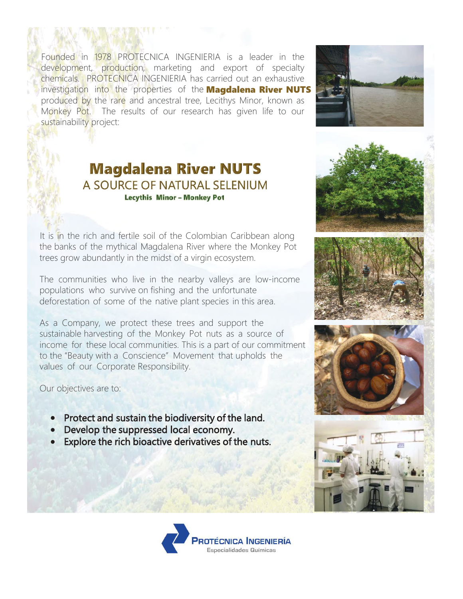Founded in 1978 PROTECNICA INGENIERIA is a leader in the development, production, marketing and export of specialty chemicals. PROTECNICA INGENIERIA has carried out an exhaustive investigation into the properties of the **Magdalena River NUTS** produced by the rare and ancestral tree, Lecithys Minor, known as Monkey Pot. The results of our research has given life to our sustainability project:



## **Magdalena River NUTS** A SOURCE OF NATURAL SELENIUM **Lecythis Minor - Monkey Pot**

It is in the rich and fertile soil of the Colombian Caribbean along the banks of the mythical Magdalena River where the Monkey Pot trees grow abundantly in the midst of a virgin ecosystem.

The communities who live in the nearby valleys are low-income populations who survive on fishing and the unfortunate deforestation of some of the native plant species in this area.

As a Company, we protect these trees and support the sustainable harvesting of the Monkey Pot nuts as a source of income for these local communities. This is a part of our commitment to the "Beauty with a Conscience" Movement that upholds the values of our Corporate Responsibility.

Our objectives are to:

- Protect and sustain the biodiversity of the land.
- Develop the suppressed local economy.
- Explore the rich bioactive derivatives of the nuts.